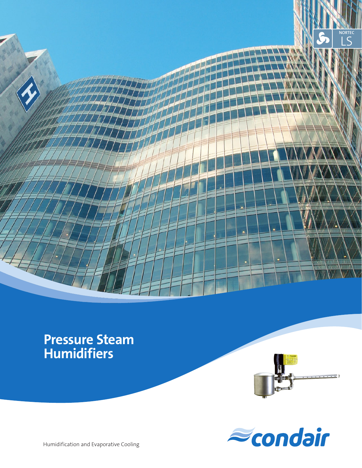

## **Pressure Steam Humidifiers**





Humidification and Evaporative Cooling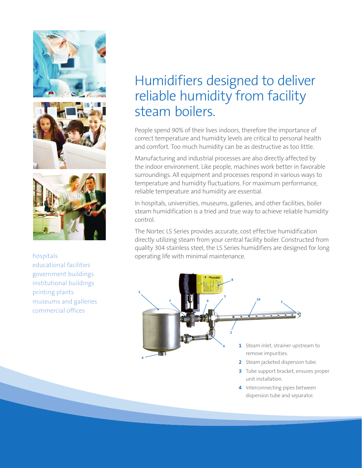





educational facilities government buildings institutional buildings printing plants museums and galleries commercial offices

### Humidifiers designed to deliver reliable humidity from facility steam boilers.

People spend 90% of their lives indoors, therefore the importance of correct temperature and humidity levels are critical to personal health and comfort. Too much humidity can be as destructive as too little.

Manufacturing and industrial processes are also directly affected by the indoor environment. Like people, machines work better in favorable surroundings. All equipment and processes respond in various ways to temperature and humidity fluctuations. For maximum performance, reliable temperature and humidity are essential.

In hospitals, universities, museums, galleries, and other facilities, boiler steam humidification is a tried and true way to achieve reliable humidity control.

The Nortec LS Series provides accurate, cost effective humidification directly utilizing steam from your central facility boiler. Constructed from quality 304 stainless steel, the LS Series humidifiers are designed for long hospitals **business** operating life with minimal maintenance.



- **3** Tube support bracket, ensures proper unit installation.
- **4** Interconnecting pipes between dispersion tube and separator.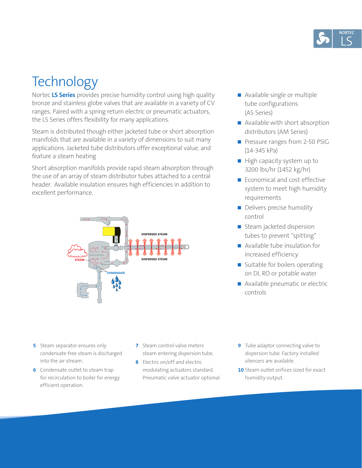

# **Technology**

Nortec **LS Series** provides precise humidity control using high quality bronze and stainless globe valves that are available in a variety of CV ranges. Paired with a spring return electric or pneumatic actuators, the LS Series offers flexibility for many applications.

Steam is distributed though either jacketed tube or short absorption manifolds that are available in a variety of dimensions to suit many applications. Jacketed tube distributors offer exceptional value, and feature a steam heating

Short absorption manifolds provide rapid steam absorption through the use of an array of steam distributor tubes attached to a central header. Available insulation ensures high efficiencies in addition to excellent performance.



- Available single or multiple tube configurations (AS Series)
- Available with short absorption distributors (AM Series)
- Pressure ranges from 2-50 PSIG (14-345 kPa)
- High capacity system up to 3200 lbs/hr (1452 kg/hr)
- Economical and cost effective system to meet high humidity requirements
- Delivers precise humidity control
- Steam jacketed dispersion tubes to prevent "spitting"
- Available tube insulation for increased efficiency
- Suitable for boilers operating on DI, RO or potable water
- Available pneumatic or electric controls

- **5** Steam separator ensures only condensate-free steam is discharged into the air stream.
- **6** Condensate outlet to steam trap for recirculation to boiler for energy efficient operation.
- **7** Steam control valve meters steam entering dispersion tube.
- **8** Electric on/off and electric modulating actuators standard. Pneumatic valve actuator optional.
- **9** Tube adaptor connecting valve to dispersion tube. Factory installed silencers are available.
- **10** Steam outlet orifices sized for exact humidity output.